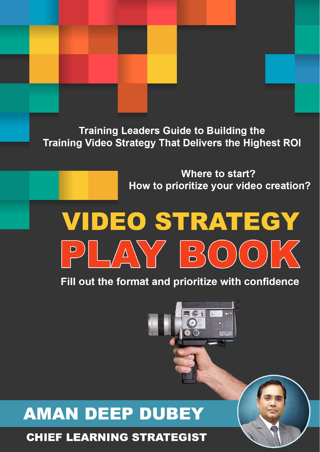**Training Leaders Guide to Building the Training Video Strategy That Delivers the Highest ROI** 

### **Where to start?** How to prioritize your video creation?

# **VIDEO STRATEGY** PLAY BOOK

Fill out the format and prioritize with confidence



# **AMAN DEEP DUBEY**

### **CHIEF LEARNING STRATEGIST**

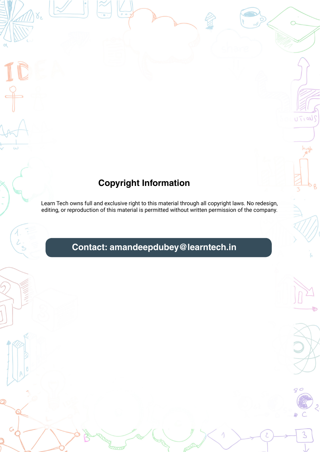### **Copyright Information**

Learn Tech owns full and exclusive right to this material through all copyright laws. No redesign, editing, or reproduction of this material is permitted without written permission of the company.

### **Contact: amandeepdubey@learntech.in**



UTIONS

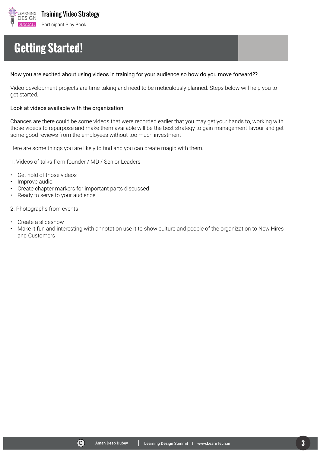

C Aman Deep Dubey Learning Design Summit I www.LearnTech.in **3**

# **Getting Started!**

#### Now you are excited about using videos in training for your audience so how do you move forward??

Video development projects are time-taking and need to be meticulously planned. Steps below will help you to get started.

#### Look at videos available with the organization

Chances are there could be some videos that were recorded earlier that you may get your hands to, working with those videos to repurpose and make them available will be the best strategy to gain management favour and get some good reviews from the employees without too much investment

Here are some things you are likely to find and you can create magic with them.

- 1. Videos of talks from founder / MD / Senior Leaders
- Get hold of those videos
- Improve audio
- Create chapter markers for important parts discussed
- Ready to serve to your audience
- 2. Photographs from events
- Create a slideshow
- Make it fun and interesting with annotation use it to show culture and people of the organization to New Hires and Customers

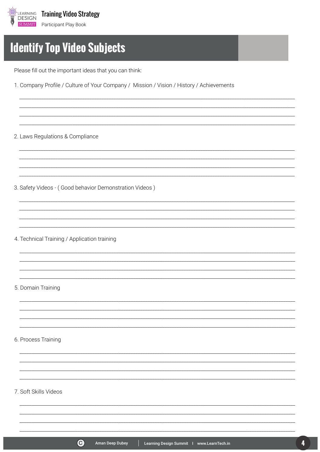

## **Identify Top Video Subjects**

Please fill out the important ideas that you can think:

1. Company Profile / Culture of Your Company / Mission / Vision / History / Achievements

2. Laws Regulations & Compliance

3. Safety Videos - (Good behavior Demonstration Videos)

4. Technical Training / Application training

5. Domain Training

6. Process Training

#### 7. Soft Skills Videos



Learning Design Summit | www.LearnTech.in

4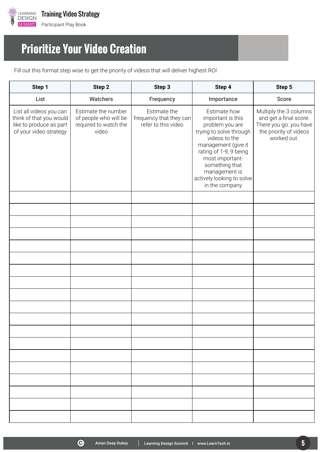

## **Prioritize Your Video Creation**

Fill out this format step wise to get the priority of videos that will deliver highest ROI

| Step 1                                                                                                  | Step 2                                                                         | Step 3                                                         | Step 4                                                                                                                                                                                                                                                 | Step 5                                                                                                            |
|---------------------------------------------------------------------------------------------------------|--------------------------------------------------------------------------------|----------------------------------------------------------------|--------------------------------------------------------------------------------------------------------------------------------------------------------------------------------------------------------------------------------------------------------|-------------------------------------------------------------------------------------------------------------------|
| List                                                                                                    | Watchers                                                                       | Frequency                                                      | Importance                                                                                                                                                                                                                                             | Score                                                                                                             |
| List all videos you can<br>think of that you would<br>like to produce as part<br>of your video strategy | Estimate the number<br>of people who will be<br>required to watch the<br>video | Estimate the<br>frequency that they can<br>refer to this video | Estimate how<br>important is this<br>problem you are<br>trying to solve through<br>videos to the<br>management (give it<br>rating of 1-9, 9 being<br>most important-<br>something that<br>management is<br>actively looking to solve<br>in the company | Multiply the 3 columns<br>and get a final score.<br>There you goyou have<br>the priority of videos<br>worked out. |
|                                                                                                         |                                                                                |                                                                |                                                                                                                                                                                                                                                        |                                                                                                                   |
|                                                                                                         |                                                                                |                                                                |                                                                                                                                                                                                                                                        |                                                                                                                   |
|                                                                                                         |                                                                                |                                                                |                                                                                                                                                                                                                                                        |                                                                                                                   |
|                                                                                                         |                                                                                |                                                                |                                                                                                                                                                                                                                                        |                                                                                                                   |
|                                                                                                         |                                                                                |                                                                |                                                                                                                                                                                                                                                        |                                                                                                                   |
|                                                                                                         |                                                                                |                                                                |                                                                                                                                                                                                                                                        |                                                                                                                   |
|                                                                                                         |                                                                                |                                                                |                                                                                                                                                                                                                                                        |                                                                                                                   |
|                                                                                                         |                                                                                |                                                                |                                                                                                                                                                                                                                                        |                                                                                                                   |
|                                                                                                         |                                                                                |                                                                |                                                                                                                                                                                                                                                        |                                                                                                                   |
|                                                                                                         |                                                                                |                                                                |                                                                                                                                                                                                                                                        |                                                                                                                   |
|                                                                                                         |                                                                                |                                                                |                                                                                                                                                                                                                                                        |                                                                                                                   |
|                                                                                                         |                                                                                |                                                                |                                                                                                                                                                                                                                                        |                                                                                                                   |
|                                                                                                         |                                                                                |                                                                |                                                                                                                                                                                                                                                        |                                                                                                                   |
|                                                                                                         |                                                                                |                                                                |                                                                                                                                                                                                                                                        |                                                                                                                   |
|                                                                                                         |                                                                                |                                                                |                                                                                                                                                                                                                                                        |                                                                                                                   |
|                                                                                                         |                                                                                |                                                                |                                                                                                                                                                                                                                                        |                                                                                                                   |
|                                                                                                         |                                                                                |                                                                |                                                                                                                                                                                                                                                        |                                                                                                                   |
|                                                                                                         |                                                                                |                                                                |                                                                                                                                                                                                                                                        |                                                                                                                   |